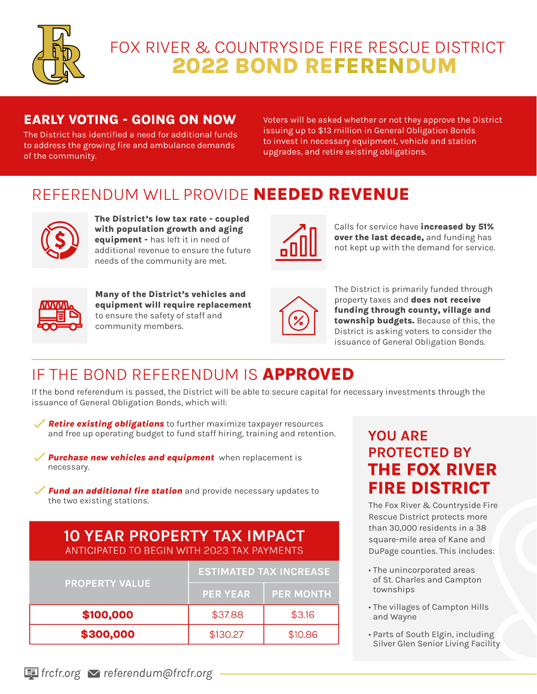

# 2022 BOND REFERENDUM FOX RIVER & COUNTRYSIDE FIRE RESCUE DISTRICT

#### EARLY VOTING - GOING ON NOW

The District has identified a need for additional funds to address the growing fire and ambulance demands of the community.

Voters will be asked whether or not they approve the District issuing up to \$13 million in General Obligation Bonds to invest in necessary equipment, vehicle and station upgrades, and retire existing obligations.

# REFERENDUM WILL PROVIDE NEEDED REVENUE



The District's low tax rate - coupled with population growth and aging equipment - has left it in need of additional revenue to ensure the future needs of the community are met.



Calls for service have increased by 51% over the last decade, and funding has not kept up with the demand for service.



Many of the District's vehicles and equipment will require replacement to ensure the safety of staff and community members.



The District is primarily funded through property taxes and **does not receive** funding through county, village and township budgets. Because of this, the District is asking voters to consider the issuance of General Obligation Bonds.

## IF THE BOND REFERENDUM IS APPROVED

If the bond referendum is passed, the District will be able to secure capital for necessary investments through the issuance of General Obligation Bonds, which will:

Retire existing obligations to further maximize taxpayer resources and free up operating budget to fund staff hiring, training and retention.

Purchase new vehicles and equipment when replacement is necessary.

 $\angle$  Fund an additional fire station and provide necessary updates to the two existing stations.

#### **10 YEAR PROPERTY TAX IMPACT** ANTICIPATED TO BEGIN WITH 2023 TAX PAYMENTS

| <b>PROPERTY VALUE</b> | <b>ESTIMATED TAX INCREASE</b> |                  |
|-----------------------|-------------------------------|------------------|
|                       | <b>PER YEAR</b>               | <b>PER MONTH</b> |
| \$100,000             | \$37.88                       | \$3.16           |
| \$300,000             | \$130.27                      | \$10.86          |

### YOU ARE PROTECTED BY THE FOX RIVER FIRE DISTRICT

The Fox River & Countryside Fire Rescue District protects more than 30,000 residents in a 38 square-mile area of Kane and DuPage counties. This includes:

- The unincorporated areas of St. Charles and Campton townships
- The villages of Campton Hills and Wayne
- Parts of South Elgin, including Silver Glen Senior Living Facility